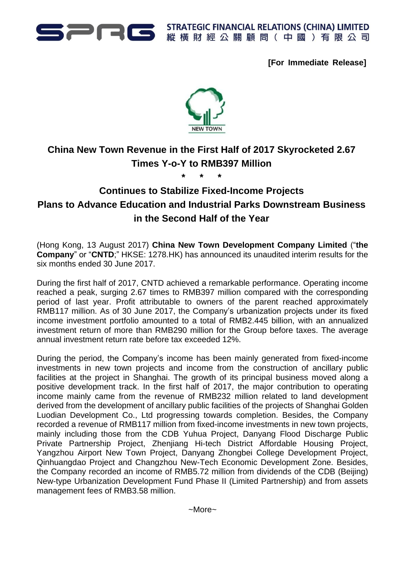

STRATEGIC FINANCIAL RELATIONS (CHINA) LIMITED

**[For Immediate Release]**



## **China New Town Revenue in the First Half of 2017 Skyrocketed 2.67 Times Y-o-Y to RMB397 Million**

**\* \* \***

**Continues to Stabilize Fixed-Income Projects Plans to Advance Education and Industrial Parks Downstream Business in the Second Half of the Year**

(Hong Kong, 13 August 2017) **China New Town Development Company Limited** ("**the Company**" or "**CNTD**;" HKSE: 1278.HK) has announced its unaudited interim results for the six months ended 30 June 2017.

During the first half of 2017, CNTD achieved a remarkable performance. Operating income reached a peak, surging 2.67 times to RMB397 million compared with the corresponding period of last year. Profit attributable to owners of the parent reached approximately RMB117 million. As of 30 June 2017, the Company's urbanization projects under its fixed income investment portfolio amounted to a total of RMB2.445 billion, with an annualized investment return of more than RMB290 million for the Group before taxes. The average annual investment return rate before tax exceeded 12%.

During the period, the Company's income has been mainly generated from fixed-income investments in new town projects and income from the construction of ancillary public facilities at the project in Shanghai. The growth of its principal business moved along a positive development track. In the first half of 2017, the major contribution to operating income mainly came from the revenue of RMB232 million related to land development derived from the development of ancillary public facilities of the projects of Shanghai Golden Luodian Development Co., Ltd progressing towards completion. Besides, the Company recorded a revenue of RMB117 million from fixed-income investments in new town projects, mainly including those from the CDB Yuhua Project, Danyang Flood Discharge Public Private Partnership Project, Zhenjiang Hi-tech District Affordable Housing Project, Yangzhou Airport New Town Project, Danyang Zhongbei College Development Project, Qinhuangdao Project and Changzhou New-Tech Economic Development Zone. Besides, the Company recorded an income of RMB5.72 million from dividends of the CDB (Beijing) New-type Urbanization Development Fund Phase II (Limited Partnership) and from assets management fees of RMB3.58 million.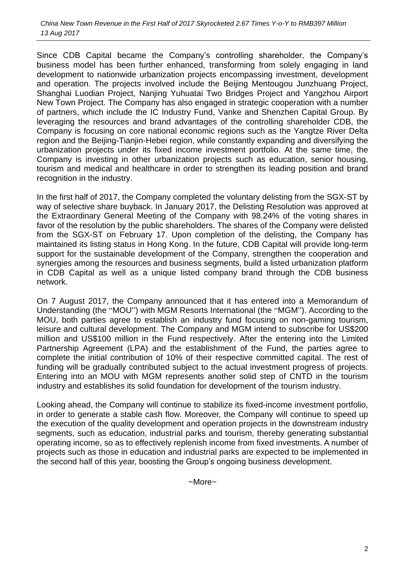Since CDB Capital became the Company's controlling shareholder, the Company's business model has been further enhanced, transforming from solely engaging in land development to nationwide urbanization projects encompassing investment, development and operation. The projects involved include the Beijing Mentougou Junzhuang Project, Shanghai Luodian Project, Nanjing Yuhuatai Two Bridges Project and Yangzhou Airport New Town Project. The Company has also engaged in strategic cooperation with a number of partners, which include the IC Industry Fund, Vanke and Shenzhen Capital Group. By leveraging the resources and brand advantages of the controlling shareholder CDB, the Company is focusing on core national economic regions such as the Yangtze River Delta region and the Beijing-Tianjin-Hebei region, while constantly expanding and diversifying the urbanization projects under its fixed income investment portfolio. At the same time, the Company is investing in other urbanization projects such as education, senior housing, tourism and medical and healthcare in order to strengthen its leading position and brand recognition in the industry.

In the first half of 2017, the Company completed the voluntary delisting from the SGX-ST by way of selective share buyback. In January 2017, the Delisting Resolution was approved at the Extraordinary General Meeting of the Company with 98.24% of the voting shares in favor of the resolution by the public shareholders. The shares of the Company were delisted from the SGX-ST on February 17. Upon completion of the delisting, the Company has maintained its listing status in Hong Kong. In the future, CDB Capital will provide long-term support for the sustainable development of the Company, strengthen the cooperation and synergies among the resources and business segments, build a listed urbanization platform in CDB Capital as well as a unique listed company brand through the CDB business network.

On 7 August 2017, the Company announced that it has entered into a Memorandum of Understanding (the "MOU") with MGM Resorts International (the "MGM"). According to the MOU, both parties agree to establish an industry fund focusing on non-gaming tourism, leisure and cultural development. The Company and MGM intend to subscribe for US\$200 million and US\$100 million in the Fund respectively. After the entering into the Limited Partnership Agreement (LPA) and the establishment of the Fund, the parties agree to complete the initial contribution of 10% of their respective committed capital. The rest of funding will be gradually contributed subject to the actual investment progress of projects. Entering into an MOU with MGM represents another solid step of CNTD in the tourism industry and establishes its solid foundation for development of the tourism industry.

Looking ahead, the Company will continue to stabilize its fixed-income investment portfolio, in order to generate a stable cash flow. Moreover, the Company will continue to speed up the execution of the quality development and operation projects in the downstream industry segments, such as education, industrial parks and tourism, thereby generating substantial operating income, so as to effectively replenish income from fixed investments. A number of projects such as those in education and industrial parks are expected to be implemented in the second half of this year, boosting the Group's ongoing business development.

~More~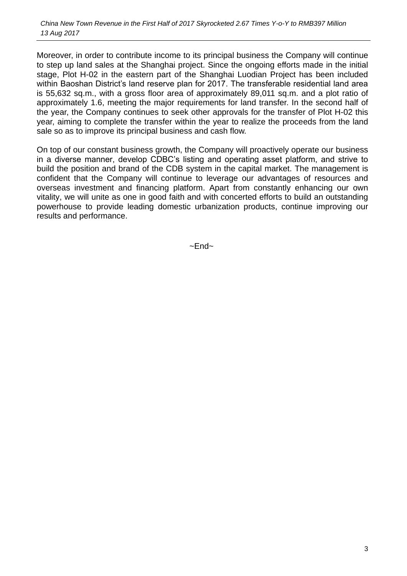Moreover, in order to contribute income to its principal business the Company will continue to step up land sales at the Shanghai project. Since the ongoing efforts made in the initial stage, Plot H-02 in the eastern part of the Shanghai Luodian Project has been included within Baoshan District's land reserve plan for 2017. The transferable residential land area is 55,632 sq.m., with a gross floor area of approximately 89,011 sq.m. and a plot ratio of approximately 1.6, meeting the major requirements for land transfer. In the second half of the year, the Company continues to seek other approvals for the transfer of Plot H-02 this year, aiming to complete the transfer within the year to realize the proceeds from the land sale so as to improve its principal business and cash flow.

On top of our constant business growth, the Company will proactively operate our business in a diverse manner, develop CDBC's listing and operating asset platform, and strive to build the position and brand of the CDB system in the capital market. The management is confident that the Company will continue to leverage our advantages of resources and overseas investment and financing platform. Apart from constantly enhancing our own vitality, we will unite as one in good faith and with concerted efforts to build an outstanding powerhouse to provide leading domestic urbanization products, continue improving our results and performance.

 $~\sim$ End $~\sim$